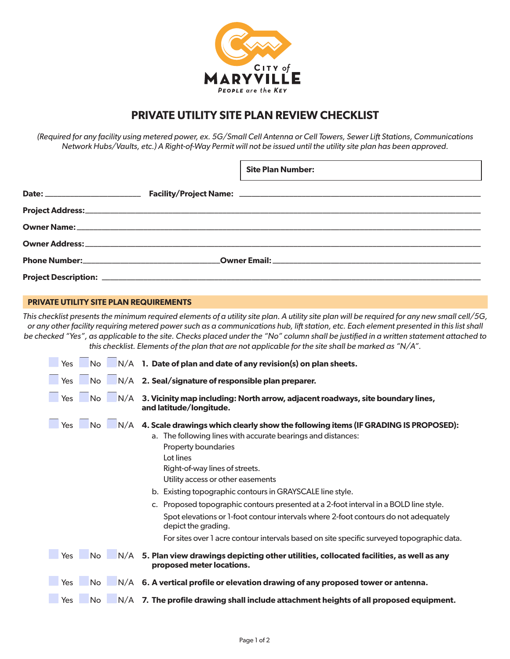

## **PRIVATE UTILITY SITE PLAN REVIEW CHECKLIST**

*(Required for any facility using metered power, ex. 5G/Small Cell Antenna or Cell Towers, Sewer Lift Stations, Communications Network Hubs/Vaults, etc.) A Right-of-Way Permit will not be issued until the utility site plan has been approved.*

ſ

|  | <b>Site Plan Number:</b> |
|--|--------------------------|
|  |                          |
|  |                          |
|  |                          |
|  |                          |
|  |                          |
|  |                          |

## **PRIVATE UTILITY SITE PLAN REQUIREMENTS**

*This checklist presents the minimum required elements of a utility site plan. A utility site plan will be required for any new small cell/5G, or any other facility requiring metered power such as a communications hub, lift station, etc. Each element presented in this list shall be checked "Yes", as applicable to the site. Checks placed under the "No" column shall be justified in a written statement attached to this checklist. Elements of the plan that are not applicable for the site shall be marked as "N/A".*

| No.<br><b>Yes</b>              | $N/A$ 1. Date of plan and date of any revision(s) on plan sheets.                                                                                                                                                                                                   |
|--------------------------------|---------------------------------------------------------------------------------------------------------------------------------------------------------------------------------------------------------------------------------------------------------------------|
| Yes<br>No.                     | N/A 2. Seal/signature of responsible plan preparer.                                                                                                                                                                                                                 |
| <b>No</b><br>N/A<br><b>Yes</b> | 3. Vicinity map including: North arrow, adjacent roadways, site boundary lines,<br>and latitude/longitude.                                                                                                                                                          |
| <b>Yes</b><br>No.              | $N/A$ 4. Scale drawings which clearly show the following items (IF GRADING IS PROPOSED):<br>a. The following lines with accurate bearings and distances:<br>Property boundaries<br>Lot lines<br>Right-of-way lines of streets.<br>Utility access or other easements |
|                                | b. Existing topographic contours in GRAYSCALE line style.                                                                                                                                                                                                           |
|                                | c. Proposed topographic contours presented at a 2-foot interval in a BOLD line style.                                                                                                                                                                               |
|                                | Spot elevations or 1-foot contour intervals where 2-foot contours do not adequately<br>depict the grading.                                                                                                                                                          |
|                                | For sites over 1 acre contour intervals based on site specific surveyed topographic data.                                                                                                                                                                           |
|                                | Yes $\Box$ No $\Box$ N/A 5. Plan view drawings depicting other utilities, collocated facilities, as well as any<br>proposed meter locations.                                                                                                                        |
| No.<br>Yes                     | $N/A$ 6. A vertical profile or elevation drawing of any proposed tower or antenna.                                                                                                                                                                                  |
| <b>Yes</b><br>No.<br>N/A       | 7. The profile drawing shall include attachment heights of all proposed equipment.                                                                                                                                                                                  |